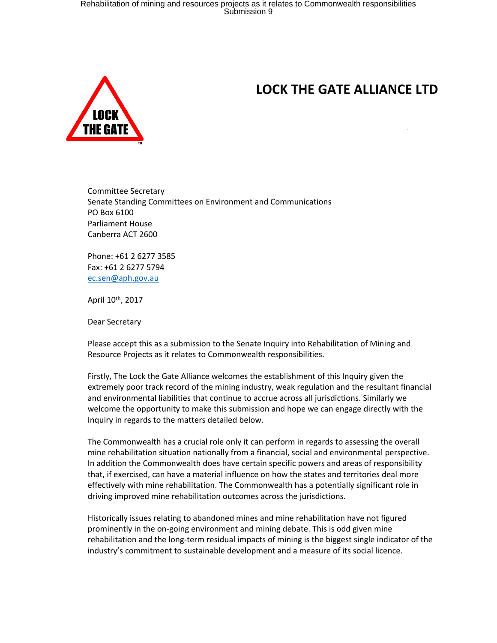

# **LOCK THE GATE ALLIANCE LTD**

Committee Secretary Senate Standing Committees on Environment and Communications PO Box 6100 Parliament House Canberra ACT 2600

Phone: +61 2 6277 3585 Fax: +61 2 6277 5794 [ec.sen@aph.gov.au](mailto:ec.sen@aph.gov.au)

April 10<sup>th</sup>, 2017

Dear Secretary

Please accept this as a submission to the Senate Inquiry into Rehabilitation of Mining and Resource Projects as it relates to Commonwealth responsibilities.

Firstly, The Lock the Gate Alliance welcomes the establishment of this Inquiry given the extremely poor track record of the mining industry, weak regulation and the resultant financial and environmental liabilities that continue to accrue across all jurisdictions. Similarly we welcome the opportunity to make this submission and hope we can engage directly with the Inquiry in regards to the matters detailed below.

The Commonwealth has a crucial role only it can perform in regards to assessing the overall mine rehabilitation situation nationally from a financial, social and environmental perspective. In addition the Commonwealth does have certain specific powers and areas of responsibility that, if exercised, can have a material influence on how the states and territories deal more effectively with mine rehabilitation. The Commonwealth has a potentially significant role in driving improved mine rehabilitation outcomes across the jurisdictions.

Historically issues relating to abandoned mines and mine rehabilitation have not figured prominently in the on-going environment and mining debate. This is odd given mine rehabilitation and the long-term residual impacts of mining is the biggest single indicator of the industry's commitment to sustainable development and a measure of its social licence.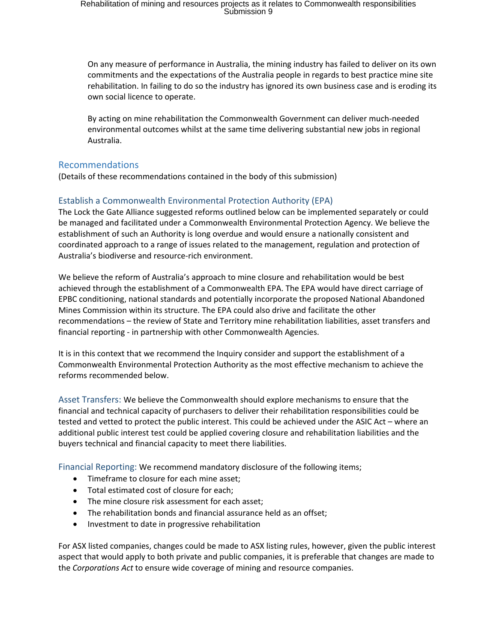On any measure of performance in Australia, the mining industry has failed to deliver on its own commitments and the expectations of the Australia people in regards to best practice mine site rehabilitation. In failing to do so the industry has ignored its own business case and is eroding its own social licence to operate.

By acting on mine rehabilitation the Commonwealth Government can deliver much-needed environmental outcomes whilst at the same time delivering substantial new jobs in regional Australia.

#### Recommendations

(Details of these recommendations contained in the body of this submission)

#### Establish a Commonwealth Environmental Protection Authority (EPA)

The Lock the Gate Alliance suggested reforms outlined below can be implemented separately or could be managed and facilitated under a Commonwealth Environmental Protection Agency. We believe the establishment of such an Authority is long overdue and would ensure a nationally consistent and coordinated approach to a range of issues related to the management, regulation and protection of Australia's biodiverse and resource-rich environment.

We believe the reform of Australia's approach to mine closure and rehabilitation would be best achieved through the establishment of a Commonwealth EPA. The EPA would have direct carriage of EPBC conditioning, national standards and potentially incorporate the proposed National Abandoned Mines Commission within its structure. The EPA could also drive and facilitate the other recommendations – the review of State and Territory mine rehabilitation liabilities, asset transfers and financial reporting - in partnership with other Commonwealth Agencies.

It is in this context that we recommend the Inquiry consider and support the establishment of a Commonwealth Environmental Protection Authority as the most effective mechanism to achieve the reforms recommended below.

Asset Transfers: We believe the Commonwealth should explore mechanisms to ensure that the financial and technical capacity of purchasers to deliver their rehabilitation responsibilities could be tested and vetted to protect the public interest. This could be achieved under the ASIC Act – where an additional public interest test could be applied covering closure and rehabilitation liabilities and the buyers technical and financial capacity to meet there liabilities.

Financial Reporting: We recommend mandatory disclosure of the following items;

- Timeframe to closure for each mine asset;
- Total estimated cost of closure for each;
- The mine closure risk assessment for each asset:
- The rehabilitation bonds and financial assurance held as an offset;
- Investment to date in progressive rehabilitation

For ASX listed companies, changes could be made to ASX listing rules, however, given the public interest aspect that would apply to both private and public companies, it is preferable that changes are made to the *Corporations Act* to ensure wide coverage of mining and resource companies.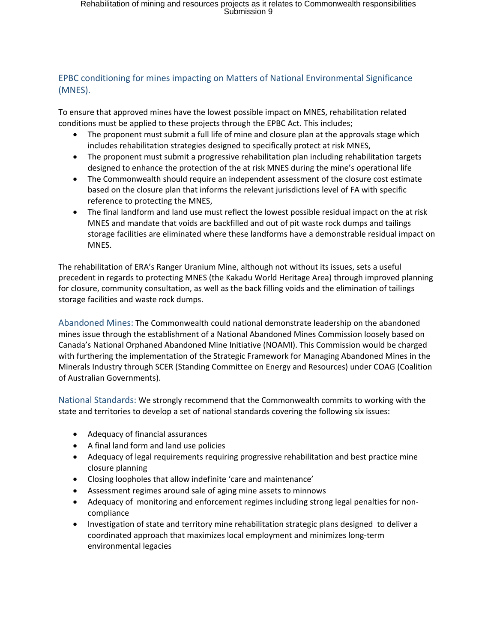#### EPBC conditioning for mines impacting on Matters of National Environmental Significance (MNES).

To ensure that approved mines have the lowest possible impact on MNES, rehabilitation related conditions must be applied to these projects through the EPBC Act. This includes;

- The proponent must submit a full life of mine and closure plan at the approvals stage which includes rehabilitation strategies designed to specifically protect at risk MNES,
- The proponent must submit a progressive rehabilitation plan including rehabilitation targets designed to enhance the protection of the at risk MNES during the mine's operational life
- The Commonwealth should require an independent assessment of the closure cost estimate based on the closure plan that informs the relevant jurisdictions level of FA with specific reference to protecting the MNES,
- The final landform and land use must reflect the lowest possible residual impact on the at risk MNES and mandate that voids are backfilled and out of pit waste rock dumps and tailings storage facilities are eliminated where these landforms have a demonstrable residual impact on MNES.

The rehabilitation of ERA's Ranger Uranium Mine, although not without its issues, sets a useful precedent in regards to protecting MNES (the Kakadu World Heritage Area) through improved planning for closure, community consultation, as well as the back filling voids and the elimination of tailings storage facilities and waste rock dumps.

Abandoned Mines: The Commonwealth could national demonstrate leadership on the abandoned mines issue through the establishment of a National Abandoned Mines Commission loosely based on Canada's National Orphaned Abandoned Mine Initiative (NOAMI). This Commission would be charged with furthering the implementation of the Strategic Framework for Managing Abandoned Mines in the Minerals Industry through SCER (Standing Committee on Energy and Resources) under COAG (Coalition of Australian Governments).

National Standards: We strongly recommend that the Commonwealth commits to working with the state and territories to develop a set of national standards covering the following six issues:

- Adequacy of financial assurances
- A final land form and land use policies
- Adequacy of legal requirements requiring progressive rehabilitation and best practice mine closure planning
- Closing loopholes that allow indefinite 'care and maintenance'
- Assessment regimes around sale of aging mine assets to minnows
- Adequacy of monitoring and enforcement regimes including strong legal penalties for noncompliance
- Investigation of state and territory mine rehabilitation strategic plans designed to deliver a coordinated approach that maximizes local employment and minimizes long-term environmental legacies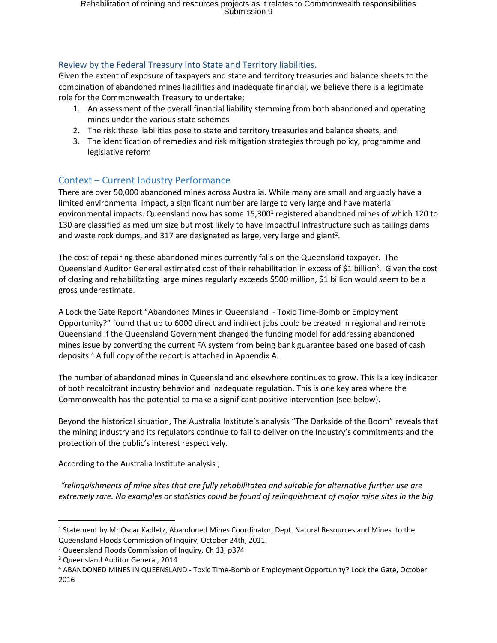#### Review by the Federal Treasury into State and Territory liabilities.

Given the extent of exposure of taxpayers and state and territory treasuries and balance sheets to the combination of abandoned mines liabilities and inadequate financial, we believe there is a legitimate role for the Commonwealth Treasury to undertake;

- 1. An assessment of the overall financial liability stemming from both abandoned and operating mines under the various state schemes
- 2. The risk these liabilities pose to state and territory treasuries and balance sheets, and
- 3. The identification of remedies and risk mitigation strategies through policy, programme and legislative reform

### Context – Current Industry Performance

There are over 50,000 abandoned mines across Australia. While many are small and arguably have a limited environmental impact, a significant number are large to very large and have material environmental impacts. Queensland now has some 15,300<sup>1</sup> registered abandoned mines of which 120 to 130 are classified as medium size but most likely to have impactful infrastructure such as tailings dams and waste rock dumps, and 317 are designated as large, very large and giant<sup>2</sup>.

The cost of repairing these abandoned mines currently falls on the Queensland taxpayer. The Queensland Auditor General estimated cost of their rehabilitation in excess of \$1 billion<sup>3</sup>. Given the cost of closing and rehabilitating large mines regularly exceeds \$500 million, \$1 billion would seem to be a gross underestimate.

A Lock the Gate Report "Abandoned Mines in Queensland - Toxic Time-Bomb or Employment Opportunity?" found that up to 6000 direct and indirect jobs could be created in regional and remote Queensland if the Queensland Government changed the funding model for addressing abandoned mines issue by converting the current FA system from being bank guarantee based one based of cash deposits.<sup>4</sup> A full copy of the report is attached in Appendix A.

The number of abandoned mines in Queensland and elsewhere continues to grow. This is a key indicator of both recalcitrant industry behavior and inadequate regulation. This is one key area where the Commonwealth has the potential to make a significant positive intervention (see below).

Beyond the historical situation, The Australia Institute's analysis "The Darkside of the Boom" reveals that the mining industry and its regulators continue to fail to deliver on the Industry's commitments and the protection of the public's interest respectively.

According to the Australia Institute analysis ;

*"relinquishments of mine sites that are fully rehabilitated and suitable for alternative further use are* extremely rare. No examples or statistics could be found of relinguishment of major mine sites in the big

<sup>1</sup> Statement by Mr Oscar Kadletz, Abandoned Mines Coordinator, Dept. Natural Resources and Mines to the Queensland Floods Commission of Inquiry, October 24th, 2011.

<sup>2</sup> Queensland Floods Commission of Inquiry, Ch 13, p374

<sup>3</sup> Queensland Auditor General, 2014

<sup>4</sup> ABANDONED MINES IN QUEENSLAND - Toxic Time-Bomb or Employment Opportunity? Lock the Gate, October 2016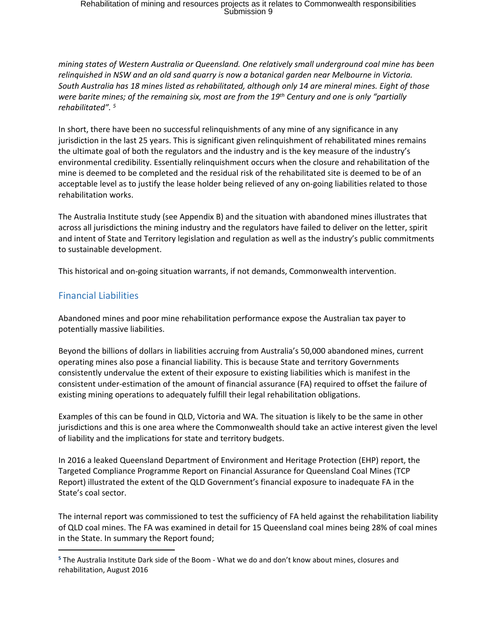*mining states of Western Australia or Queensland. One relatively small underground coal mine has been relinquished in NSW and an old sand quarry is now a botanical garden near Melbourne in Victoria. South Australia has 18 mines listed as rehabilitated, although only 14 are mineral mines. Eight of those* were barite mines; of the remaining six, most are from the  $19<sup>th</sup>$  Century and one is only "partially *rehabilitated". <sup>5</sup>*

In short, there have been no successful relinquishments of any mine of any significance in any jurisdiction in the last 25 years. This is significant given relinquishment of rehabilitated mines remains the ultimate goal of both the regulators and the industry and is the key measure of the industry's environmental credibility. Essentially relinquishment occurs when the closure and rehabilitation of the mine is deemed to be completed and the residual risk of the rehabilitated site is deemed to be of an acceptable level as to justify the lease holder being relieved of any on-going liabilities related to those rehabilitation works.

The Australia Institute study (see Appendix B) and the situation with abandoned mines illustrates that across all jurisdictions the mining industry and the regulators have failed to deliver on the letter, spirit and intent of State and Territory legislation and regulation as well as the industry's public commitments to sustainable development.

This historical and on-going situation warrants, if not demands, Commonwealth intervention.

### Financial Liabilities

Abandoned mines and poor mine rehabilitation performance expose the Australian tax payer to potentially massive liabilities.

Beyond the billions of dollars in liabilities accruing from Australia's 50,000 abandoned mines, current operating mines also pose a financial liability. This is because State and territory Governments consistently undervalue the extent of their exposure to existing liabilities which is manifest in the consistent under-estimation of the amount of financial assurance (FA) required to offset the failure of existing mining operations to adequately fulfill their legal rehabilitation obligations.

Examples of this can be found in QLD, Victoria and WA. The situation is likely to be the same in other jurisdictions and this is one area where the Commonwealth should take an active interest given the level of liability and the implications for state and territory budgets.

In 2016 a leaked Queensland Department of Environment and Heritage Protection (EHP) report, the Targeted Compliance Programme Report on Financial Assurance for Queensland Coal Mines (TCP Report) illustrated the extent of the QLD Government's financial exposure to inadequate FA in the State's coal sector.

The internal report was commissioned to test the sufficiency of FA held against the rehabilitation liability of QLD coal mines. The FA was examined in detail for 15 Queensland coal mines being 28% of coal mines in the State. In summary the Report found;

**<sup>5</sup>** The Australia Institute Dark side of the Boom - What we do and don't know about mines, closures and rehabilitation, August 2016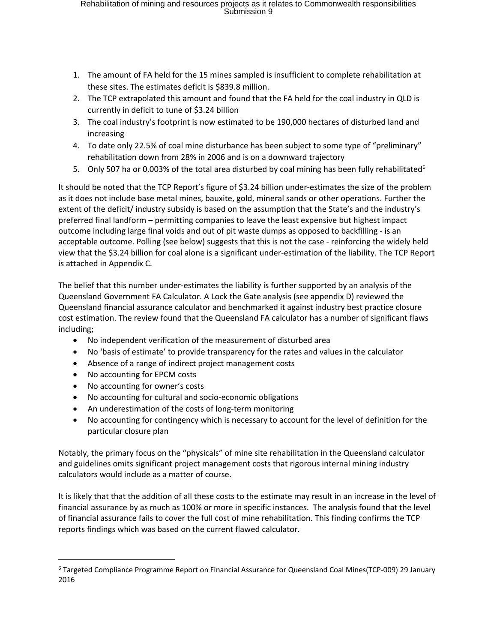- 1. The amount of FA held for the 15 mines sampled is insufficient to complete rehabilitation at these sites. The estimates deficit is \$839.8 million.
- 2. The TCP extrapolated this amount and found that the FA held for the coal industry in QLD is currently in deficit to tune of \$3.24 billion
- 3. The coal industry's footprint is now estimated to be 190,000 hectares of disturbed land and increasing
- 4. To date only 22.5% of coal mine disturbance has been subject to some type of "preliminary" rehabilitation down from 28% in 2006 and is on a downward trajectory
- 5. Only 507 ha or 0.003% of the total area disturbed by coal mining has been fully rehabilitated<sup>6</sup>

It should be noted that the TCP Report's figure of \$3.24 billion under-estimates the size of the problem as it does not include base metal mines, bauxite, gold, mineral sands or other operations. Further the extent of the deficit/ industry subsidy is based on the assumption that the State's and the industry's preferred final landform – permitting companies to leave the least expensive but highest impact outcome including large final voids and out of pit waste dumps as opposed to backfilling - is an acceptable outcome. Polling (see below) suggests that this is not the case - reinforcing the widely held view that the \$3.24 billion for coal alone is a significant under-estimation of the liability. The TCP Report is attached in Appendix C.

The belief that this number under-estimates the liability is further supported by an analysis of the Queensland Government FA Calculator. A Lock the Gate analysis (see appendix D) reviewed the Queensland financial assurance calculator and benchmarked it against industry best practice closure cost estimation. The review found that the Queensland FA calculator has a number of significant flaws including;

- No independent verification of the measurement of disturbed area
- No 'basis of estimate' to provide transparency for the rates and values in the calculator
- Absence of a range of indirect project management costs
- No accounting for EPCM costs
- No accounting for owner's costs
- No accounting for cultural and socio-economic obligations
- An underestimation of the costs of long-term monitoring
- No accounting for contingency which is necessary to account for the level of definition for the particular closure plan

Notably, the primary focus on the "physicals" of mine site rehabilitation in the Queensland calculator and guidelines omits significant project management costs that rigorous internal mining industry calculators would include as a matter of course.

It is likely that that the addition of all these costs to the estimate may result in an increase in the level of financial assurance by as much as 100% or more in specific instances. The analysis found that the level of financial assurance fails to cover the full cost of mine rehabilitation. This finding confirms the TCP reports findings which was based on the current flawed calculator.

<sup>6</sup> Targeted Compliance Programme Report on Financial Assurance for Queensland Coal Mines(TCP-009) 29 January 2016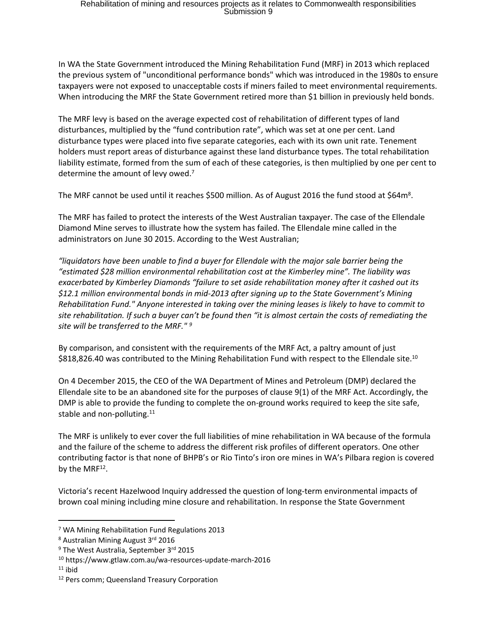In WA the State Government introduced the Mining Rehabilitation Fund (MRF) in 2013 which replaced the previous system of "unconditional performance bonds" which was introduced in the 1980s to ensure taxpayers were not exposed to unacceptable costs if miners failed to meet environmental requirements. When introducing the MRF the State Government retired more than \$1 billion in previously held bonds.

The MRF levy is based on the average expected cost of rehabilitation of different types of land disturbances, multiplied by the "fund contribution rate", which was set at one per cent. Land disturbance types were placed into five separate categories, each with its own unit rate. Tenement holders must report areas of disturbance against these land disturbance types. The total rehabilitation liability estimate, formed from the sum of each of these categories, is then multiplied by one per cent to determine the amount of levy owed.<sup>7</sup>

The MRF cannot be used until it reaches \$500 million. As of August 2016 the fund stood at \$64m<sup>8</sup>.

The MRF has failed to protect the interests of the West Australian taxpayer. The case of the Ellendale Diamond Mine serves to illustrate how the system has failed. The Ellendale mine called in the administrators on June 30 2015. According to the West Australian;

*"liquidators have been unable to find a buyer for Ellendale with the major sale barrier being the "estimated \$28 million environmental rehabilitation cost at the Kimberley mine". The liability was exacerbated by Kimberley Diamonds "failure to set aside rehabilitation money after it cashed out its \$12.1 million environmental bonds in mid-2013 after signing up to the State Government's Mining Rehabilitation Fund." Anyone interested in taking over the mining leases is likely to have to commit to* site rehabilitation. If such a buyer can't be found then "it is almost certain the costs of remediating the *site will be transferred to the MRF." <sup>9</sup>*

By comparison, and consistent with the requirements of the MRF Act, a paltry amount of just \$818,826.40 was contributed to the Mining Rehabilitation Fund with respect to the Ellendale site.<sup>10</sup>

On 4 December 2015, the CEO of the WA Department of Mines and Petroleum (DMP) declared the Ellendale site to be an abandoned site for the purposes of clause 9(1) of the MRF Act. Accordingly, the DMP is able to provide the funding to complete the on-ground works required to keep the site safe, stable and non-polluting.<sup>11</sup>

The MRF is unlikely to ever cover the full liabilities of mine rehabilitation in WA because of the formula and the failure of the scheme to address the different risk profiles of different operators. One other contributing factor is that none of BHPB's or Rio Tinto's iron ore mines in WA's Pilbara region is covered by the MRF<sup>12</sup>.

Victoria's recent Hazelwood Inquiry addressed the question of long-term environmental impacts of brown coal mining including mine closure and rehabilitation. In response the State Government

<sup>7</sup> WA Mining Rehabilitation Fund Regulations 2013

<sup>&</sup>lt;sup>8</sup> Australian Mining August 3<sup>rd</sup> 2016

<sup>&</sup>lt;sup>9</sup> The West Australia, September 3<sup>rd</sup> 2015

<sup>10</sup> https://www.gtlaw.com.au/wa-resources-update-march-2016

 $11$  ibid

<sup>&</sup>lt;sup>12</sup> Pers comm; Queensland Treasury Corporation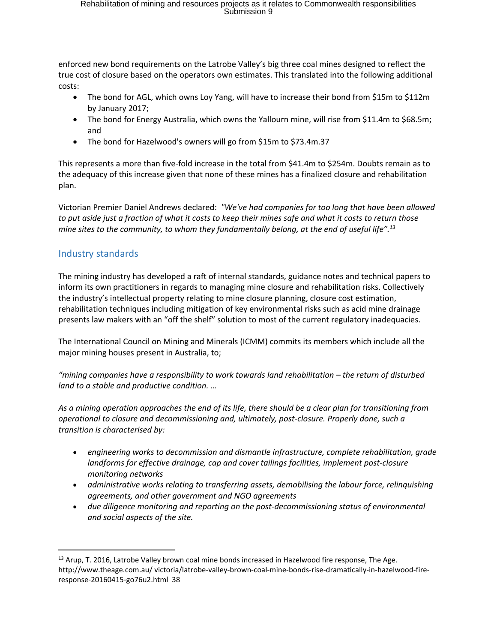enforced new bond requirements on the Latrobe Valley's big three coal mines designed to reflect the true cost of closure based on the operators own estimates. This translated into the following additional costs:

- The bond for AGL, which owns Loy Yang, will have to increase their bond from \$15m to \$112m by January 2017;
- The bond for Energy Australia, which owns the Yallourn mine, will rise from \$11.4m to \$68.5m; and
- The bond for Hazelwood's owners will go from \$15m to \$73.4m.37

This represents a more than five-fold increase in the total from \$41.4m to \$254m. Doubts remain as to the adequacy of this increase given that none of these mines has a finalized closure and rehabilitation plan.

Victorian Premier Daniel Andrews declared: *"We've had companies for too long that have been allowed* to put aside just a fraction of what it costs to keep their mines safe and what it costs to return those *mine sites to the community, to whom they fundamentally belong, at the end of useful life".<sup>13</sup>*

### Industry standards

The mining industry has developed a raft of internal standards, guidance notes and technical papers to inform its own practitioners in regards to managing mine closure and rehabilitation risks. Collectively the industry's intellectual property relating to mine closure planning, closure cost estimation, rehabilitation techniques including mitigation of key environmental risks such as acid mine drainage presents law makers with an "off the shelf" solution to most of the current regulatory inadequacies.

The International Council on Mining and Minerals (ICMM) commits its members which include all the major mining houses present in Australia, to;

*"mining companies have a responsibility to work towards land rehabilitation – the return of disturbed land to a stable and productive condition. …*

As a mining operation approaches the end of its life, there should be a clear plan for transitioning from *operational to closure and decommissioning and, ultimately, post-closure. Properly done, such a transition is characterised by:*

- *engineering works to decommission and dismantle infrastructure, complete rehabilitation, grade landforms for effective drainage, cap and cover tailings facilities, implement post-closure monitoring networks*
- *administrative works relating to transferring assets, demobilising the labour force, relinquishing agreements, and other government and NGO agreements*
- *due diligence monitoring and reporting on the post-decommissioning status of environmental and social aspects of the site.*

<sup>&</sup>lt;sup>13</sup> Arup, T. 2016, Latrobe Valley brown coal mine bonds increased in Hazelwood fire response, The Age. http://www.theage.com.au/ victoria/latrobe-valley-brown-coal-mine-bonds-rise-dramatically-in-hazelwood-fireresponse-20160415-go76u2.html 38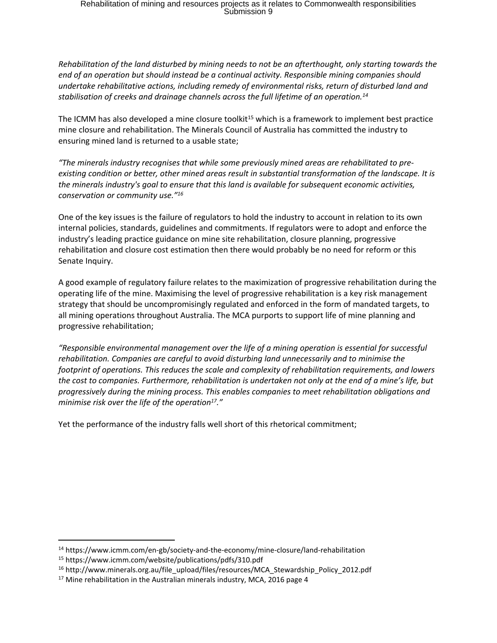*Rehabilitation of the land disturbed by mining needs to not be an afterthought, only starting towards the end of an operation but should instead be a continual activity. Responsible mining companies should undertake rehabilitative actions, including remedy of environmental risks, return of disturbed land and stabilisation of creeks and drainage channels across the full lifetime of an operation.<sup>14</sup>*

The ICMM has also developed a mine closure toolkit<sup>15</sup> which is a framework to implement best practice mine closure and rehabilitation. The Minerals Council of Australia has committed the industry to ensuring mined land is returned to a usable state;

*"The minerals industry recognises that while some previously mined areas are rehabilitated to preexisting condition or better, other mined areas result in substantial transformation of the landscape. It is the minerals industry's goal to ensure that this land is available for subsequent economic activities, conservation or community use."<sup>16</sup>*

One of the key issues is the failure of regulators to hold the industry to account in relation to its own internal policies, standards, guidelines and commitments. If regulators were to adopt and enforce the industry's leading practice guidance on mine site rehabilitation, closure planning, progressive rehabilitation and closure cost estimation then there would probably be no need for reform or this Senate Inquiry.

A good example of regulatory failure relates to the maximization of progressive rehabilitation during the operating life of the mine. Maximising the level of progressive rehabilitation is a key risk management strategy that should be uncompromisingly regulated and enforced in the form of mandated targets, to all mining operations throughout Australia. The MCA purports to support life of mine planning and progressive rehabilitation;

*"Responsible environmental management over the life of a mining operation is essential for successful rehabilitation. Companies are careful to avoid disturbing land unnecessarily and to minimise the footprint of operations. This reduces the scale and complexity of rehabilitation requirements, and lowers* the cost to companies. Furthermore, rehabilitation is undertaken not only at the end of a mine's life, but *progressively during the mining process. This enables companies to meet rehabilitation obligations and minimise risk over the life of the operation<sup>17</sup>."*

Yet the performance of the industry falls well short of this rhetorical commitment;

<sup>14</sup> https://www.icmm.com/en-gb/society-and-the-economy/mine-closure/land-rehabilitation

<sup>15</sup> https://www.icmm.com/website/publications/pdfs/310.pdf

<sup>&</sup>lt;sup>16</sup> http://www.minerals.org.au/file\_upload/files/resources/MCA\_Stewardship\_Policy\_2012.pdf

<sup>&</sup>lt;sup>17</sup> Mine rehabilitation in the Australian minerals industry, MCA, 2016 page 4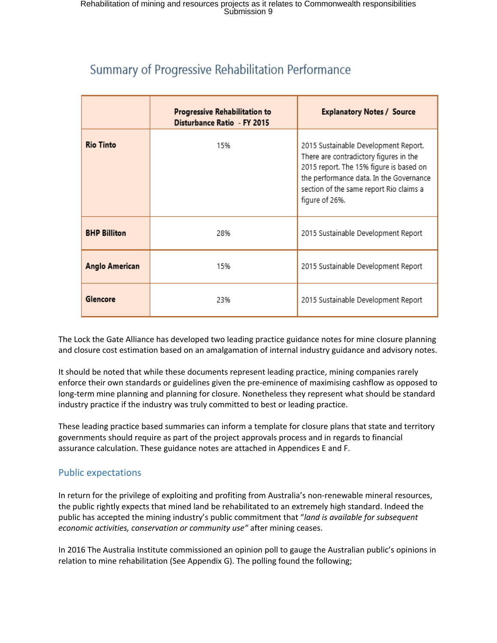## Summary of Progressive Rehabilitation Performance

|                     | Progressive Rehabilitation to<br>Disturbance Ratio - FY 2015 | <b>Explanatory Notes / Source</b>                                                                                                                                                                                                 |
|---------------------|--------------------------------------------------------------|-----------------------------------------------------------------------------------------------------------------------------------------------------------------------------------------------------------------------------------|
| <b>Rio Tinto</b>    | 15%                                                          | 2015 Sustainable Development Report.<br>There are contradictory figures in the<br>2015 report. The 15% figure is based on<br>the performance data. In the Governance<br>section of the same report Rio claims a<br>figure of 26%. |
| <b>BHP Billiton</b> | 28%                                                          | 2015 Sustainable Development Report                                                                                                                                                                                               |
| Anglo American      | 15%                                                          | 2015 Sustainable Development Report                                                                                                                                                                                               |
| Glencore            | 23%                                                          | 2015 Sustainable Development Report                                                                                                                                                                                               |

The Lock the Gate Alliance has developed two leading practice guidance notes for mine closure planning and closure cost estimation based on an amalgamation of internal industry guidance and advisory notes.

It should be noted that while these documents represent leading practice, mining companies rarely enforce their own standards or guidelines given the pre-eminence of maximising cashflow as opposed to long-term mine planning and planning for closure. Nonetheless they represent what should be standard industry practice if the industry was truly committed to best or leading practice.

These leading practice based summaries can inform a template for closure plans that state and territory governments should require as part of the project approvals process and in regards to financial assurance calculation. These guidance notes are attached in Appendices E and F.

#### Public expectations

In return for the privilege of exploiting and profiting from Australia's non-renewable mineral resources, the public rightly expects that mined land be rehabilitated to an extremely high standard. Indeed the public has accepted the mining industry's public commitment that "*land is available for subsequent economic activities, conservation or community use"* after mining ceases.

In 2016 The Australia Institute commissioned an opinion poll to gauge the Australian public's opinions in relation to mine rehabilitation (See Appendix G). The polling found the following;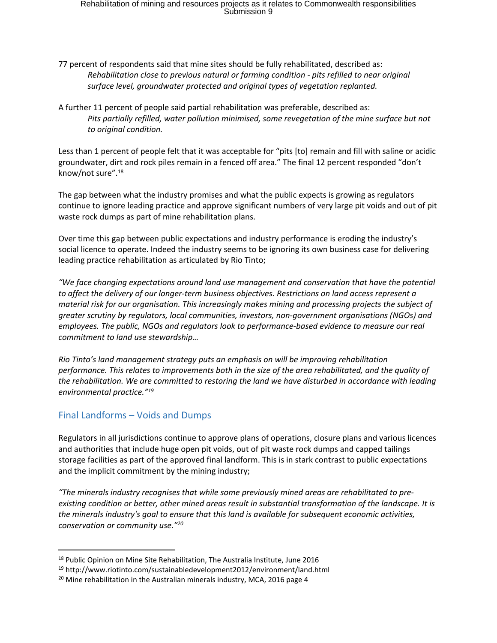- 77 percent of respondents said that mine sites should be fully rehabilitated, described as: *Rehabilitation close to previous natural or farming condition - pits refilled to near original surface level, groundwater protected and original types of vegetation replanted.*
- A further 11 percent of people said partial rehabilitation was preferable, described as: *Pits partially refilled, water pollution minimised, some revegetation of the mine surface but not to original condition.*

Less than 1 percent of people felt that it was acceptable for "pits [to] remain and fill with saline or acidic groundwater, dirt and rock piles remain in a fenced off area." The final 12 percent responded "don't know/not sure".<sup>18</sup>

The gap between what the industry promises and what the public expects is growing as regulators continue to ignore leading practice and approve significant numbers of very large pit voids and out of pit waste rock dumps as part of mine rehabilitation plans.

Over time this gap between public expectations and industry performance is eroding the industry's social licence to operate. Indeed the industry seems to be ignoring its own business case for delivering leading practice rehabilitation as articulated by Rio Tinto;

*"We face changing expectations around land use management and conservation that have the potential to affect the delivery of our longer-term business objectives. Restrictions on land access represent a material risk for our organisation. This increasingly makes mining and processing projects the subject of greater scrutiny by regulators, local communities, investors, non-government organisations (NGOs) and employees. The public, NGOs and regulators look to performance-based evidence to measure our real commitment to land use stewardship…*

*Rio Tinto's land management strategy puts an emphasis on will be improving rehabilitation performance. This relates to improvements both in the size of the area rehabilitated, and the quality of the rehabilitation. We are committed to restoring the land we have disturbed in accordance with leading environmental practice."<sup>19</sup>*

#### Final Landforms – Voids and Dumps

Regulators in all jurisdictions continue to approve plans of operations, closure plans and various licences and authorities that include huge open pit voids, out of pit waste rock dumps and capped tailings storage facilities as part of the approved final landform. This is in stark contrast to public expectations and the implicit commitment by the mining industry;

*"The minerals industry recognises that while some previously mined areas are rehabilitated to preexisting condition or better, other mined areas result in substantial transformation of the landscape. It is the minerals industry's goal to ensure that this land is available for subsequent economic activities, conservation or community use."<sup>20</sup>*

<sup>18</sup> Public Opinion on Mine Site Rehabilitation, The Australia Institute, June 2016

<sup>19</sup> http://www.riotinto.com/sustainabledevelopment2012/environment/land.html

<sup>&</sup>lt;sup>20</sup> Mine rehabilitation in the Australian minerals industry, MCA, 2016 page 4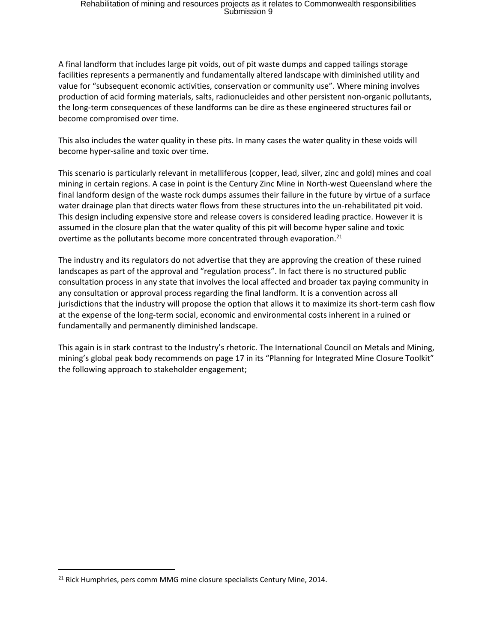A final landform that includes large pit voids, out of pit waste dumps and capped tailings storage facilities represents a permanently and fundamentally altered landscape with diminished utility and value for "subsequent economic activities, conservation or community use". Where mining involves production of acid forming materials, salts, radionucleides and other persistent non-organic pollutants, the long-term consequences of these landforms can be dire as these engineered structures fail or become compromised over time.

This also includes the water quality in these pits. In many cases the water quality in these voids will become hyper-saline and toxic over time.

This scenario is particularly relevant in metalliferous (copper, lead, silver, zinc and gold) mines and coal mining in certain regions. A case in point is the Century Zinc Mine in North-west Queensland where the final landform design of the waste rock dumps assumes their failure in the future by virtue of a surface water drainage plan that directs water flows from these structures into the un-rehabilitated pit void. This design including expensive store and release covers is considered leading practice. However it is assumed in the closure plan that the water quality of this pit will become hyper saline and toxic overtime as the pollutants become more concentrated through evaporation.<sup>21</sup>

The industry and its regulators do not advertise that they are approving the creation of these ruined landscapes as part of the approval and "regulation process". In fact there is no structured public consultation process in any state that involves the local affected and broader tax paying community in any consultation or approval process regarding the final landform. It is a convention across all jurisdictions that the industry will propose the option that allows it to maximize its short-term cash flow at the expense of the long-term social, economic and environmental costs inherent in a ruined or fundamentally and permanently diminished landscape.

This again is in stark contrast to the Industry's rhetoric. The International Council on Metals and Mining, mining's global peak body recommends on page 17 in its "Planning for Integrated Mine Closure Toolkit" the following approach to stakeholder engagement;

<sup>&</sup>lt;sup>21</sup> Rick Humphries, pers comm MMG mine closure specialists Century Mine, 2014.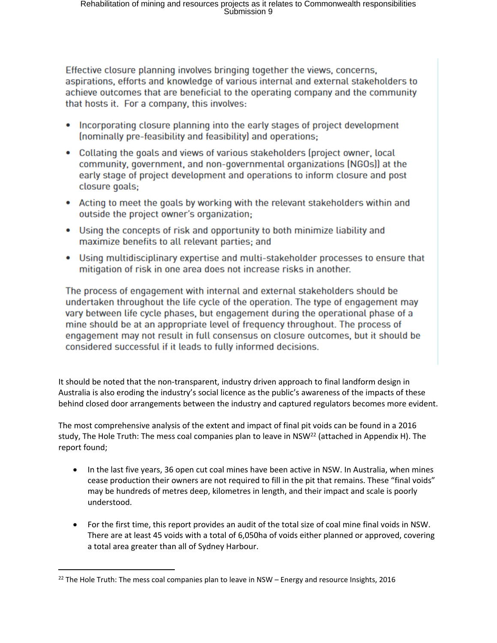Effective closure planning involves bringing together the views, concerns, aspirations, efforts and knowledge of various internal and external stakeholders to achieve outcomes that are beneficial to the operating company and the community that hosts it. For a company, this involves:

- Incorporating closure planning into the early stages of project development (nominally pre-feasibility and feasibility) and operations;
- Collating the goals and views of various stakeholders (project owner, local community, government, and non-governmental organizations (NGOs)) at the early stage of project development and operations to inform closure and post closure goals;
- Acting to meet the goals by working with the relevant stakeholders within and outside the project owner's organization;
- Using the concepts of risk and opportunity to both minimize liability and maximize benefits to all relevant parties; and
- Using multidisciplinary expertise and multi-stakeholder processes to ensure that mitigation of risk in one area does not increase risks in another.

The process of engagement with internal and external stakeholders should be undertaken throughout the life cycle of the operation. The type of engagement may vary between life cycle phases, but engagement during the operational phase of a mine should be at an appropriate level of frequency throughout. The process of engagement may not result in full consensus on closure outcomes, but it should be considered successful if it leads to fully informed decisions.

It should be noted that the non-transparent, industry driven approach to final landform design in Australia is also eroding the industry's social licence as the public's awareness of the impacts of these behind closed door arrangements between the industry and captured regulators becomes more evident.

The most comprehensive analysis of the extent and impact of final pit voids can be found in a 2016 study, The Hole Truth: The mess coal companies plan to leave in NSW<sup>22</sup> (attached in Appendix H). The report found;

- In the last five years, 36 open cut coal mines have been active in NSW. In Australia, when mines cease production their owners are not required to fill in the pit that remains. These "final voids" may be hundreds of metres deep, kilometres in length, and their impact and scale is poorly understood.
- For the first time, this report provides an audit of the total size of coal mine final voids in NSW. There are at least 45 voids with a total of 6,050ha of voids either planned or approved, covering a total area greater than all of Sydney Harbour.

<sup>&</sup>lt;sup>22</sup> The Hole Truth: The mess coal companies plan to leave in NSW – Energy and resource Insights, 2016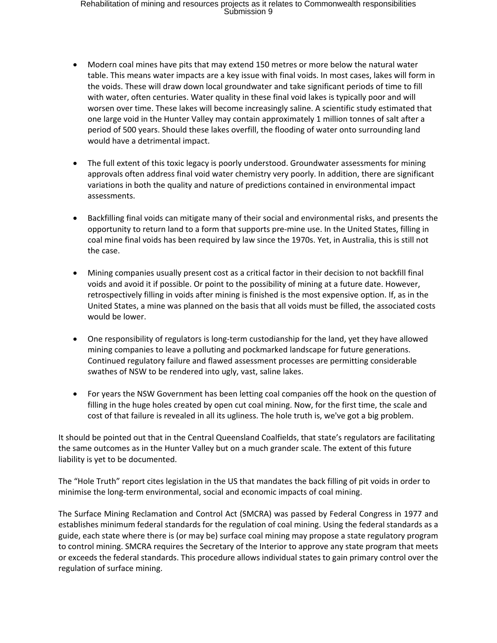- Modern coal mines have pits that may extend 150 metres or more below the natural water table. This means water impacts are a key issue with final voids. In most cases, lakes will form in the voids. These will draw down local groundwater and take significant periods of time to fill with water, often centuries. Water quality in these final void lakes is typically poor and will worsen over time. These lakes will become increasingly saline. A scientific study estimated that one large void in the Hunter Valley may contain approximately 1 million tonnes of salt after a period of 500 years. Should these lakes overfill, the flooding of water onto surrounding land would have a detrimental impact.
- The full extent of this toxic legacy is poorly understood. Groundwater assessments for mining approvals often address final void water chemistry very poorly. In addition, there are significant variations in both the quality and nature of predictions contained in environmental impact assessments.
- Backfilling final voids can mitigate many of their social and environmental risks, and presents the opportunity to return land to a form that supports pre-mine use. In the United States, filling in coal mine final voids has been required by law since the 1970s. Yet, in Australia, this is still not the case.
- Mining companies usually present cost as a critical factor in their decision to not backfill final voids and avoid it if possible. Or point to the possibility of mining at a future date. However, retrospectively filling in voids after mining is finished is the most expensive option. If, as in the United States, a mine was planned on the basis that all voids must be filled, the associated costs would be lower.
- One responsibility of regulators is long-term custodianship for the land, yet they have allowed mining companies to leave a polluting and pockmarked landscape for future generations. Continued regulatory failure and flawed assessment processes are permitting considerable swathes of NSW to be rendered into ugly, vast, saline lakes.
- For years the NSW Government has been letting coal companies off the hook on the question of filling in the huge holes created by open cut coal mining. Now, for the first time, the scale and cost of that failure is revealed in all its ugliness. The hole truth is, we've got a big problem.

It should be pointed out that in the Central Queensland Coalfields, that state's regulators are facilitating the same outcomes as in the Hunter Valley but on a much grander scale. The extent of this future liability is yet to be documented.

The "Hole Truth" report cites legislation in the US that mandates the back filling of pit voids in order to minimise the long-term environmental, social and economic impacts of coal mining.

The Surface Mining Reclamation and Control Act (SMCRA) was passed by Federal Congress in 1977 and establishes minimum federal standards for the regulation of coal mining. Using the federal standards as a guide, each state where there is (or may be) surface coal mining may propose a state regulatory program to control mining. SMCRA requires the Secretary of the Interior to approve any state program that meets or exceeds the federal standards. This procedure allows individual states to gain primary control over the regulation of surface mining.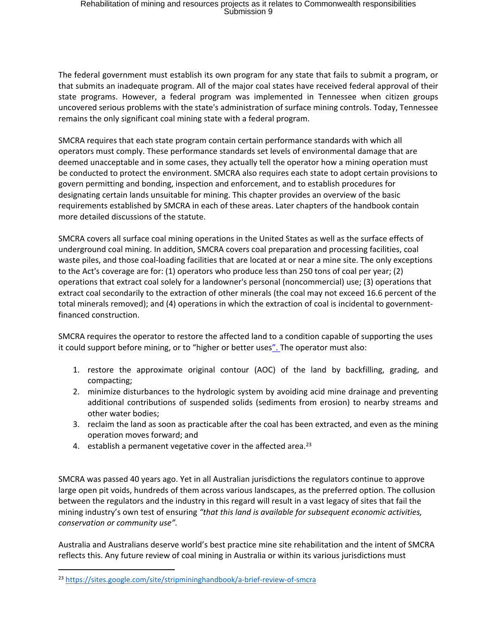The federal government must establish its own program for any state that fails to submit a program, or that submits an inadequate program. All of the major coal states have received federal approval of their state programs. However, a federal program was implemented in Tennessee when citizen groups uncovered serious problems with the state's administration of surface mining controls. Today, Tennessee remains the only significant coal mining state with a federal program.

SMCRA requires that each state program contain certain performance standards with which all operators must comply. These performance standards set levels of environmental damage that are deemed unacceptable and in some cases, they actually tell the operator how a mining operation must be conducted to protect the environment. SMCRA also requires each state to adopt certain provisions to govern permitting and bonding, inspection and enforcement, and to establish procedures for designating certain lands unsuitable for mining. This chapter provides an overview of the basic requirements established by SMCRA in each of these areas. Later chapters of the handbook contain more detailed discussions of the statute.

SMCRA covers all surface coal mining operations in the United States as well as the surface effects of underground coal mining. In addition, SMCRA covers coal preparation and processing facilities, coal waste piles, and those coal-loading facilities that are located at or near a mine site. The only exceptions to the Act's coverage are for: (1) operators who produce less than 250 tons of coal per year; (2) operations that extract coal solely for a landowner's personal (noncommercial) use; (3) operations that extract coal secondarily to the extraction of other minerals (the coal may not exceed 16.6 percent of the total minerals removed); and (4) operations in which the extraction of coal is incidental to governmentfinanced construction.

SMCRA requires the operator to restore the affected land to a condition capable of supporting the uses it could support before mining, or to "higher or better uses". The operator must also:

- 1. restore the approximate original contour (AOC) of the land by backfilling, grading, and compacting;
- 2. minimize disturbances to the hydrologic system by avoiding acid mine drainage and preventing additional contributions of suspended solids (sediments from erosion) to nearby streams and other water bodies;
- 3. reclaim the land as soon as practicable after the coal has been extracted, and even as the mining operation moves forward; and
- 4. establish a permanent vegetative cover in the affected area.<sup>23</sup>

SMCRA was passed 40 years ago. Yet in all Australian jurisdictions the regulators continue to approve large open pit voids, hundreds of them across various landscapes, as the preferred option. The collusion between the regulators and the industry in this regard will result in a vast legacy of sites that fail the mining industry's own test of ensuring *"that this land is available for subsequent economic activities, conservation or community use".*

Australia and Australians deserve world's best practice mine site rehabilitation and the intent of SMCRA reflects this. Any future review of coal mining in Australia or within its various jurisdictions must

<sup>23</sup> <https://sites.google.com/site/stripmininghandbook/a-brief-review-of-smcra>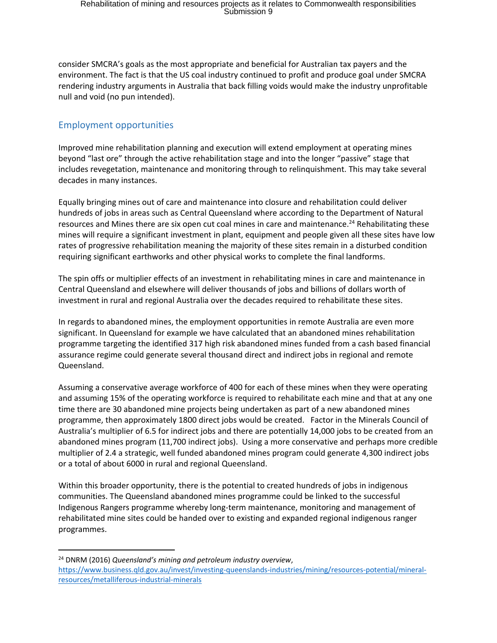consider SMCRA's goals as the most appropriate and beneficial for Australian tax payers and the environment. The fact is that the US coal industry continued to profit and produce goal under SMCRA rendering industry arguments in Australia that back filling voids would make the industry unprofitable null and void (no pun intended).

#### Employment opportunities

Improved mine rehabilitation planning and execution will extend employment at operating mines beyond "last ore" through the active rehabilitation stage and into the longer "passive" stage that includes revegetation, maintenance and monitoring through to relinquishment. This may take several decades in many instances.

Equally bringing mines out of care and maintenance into closure and rehabilitation could deliver hundreds of jobs in areas such as Central Queensland where according to the Department of Natural resources and Mines there are six open cut coal mines in care and maintenance.<sup>24</sup> Rehabilitating these mines will require a significant investment in plant, equipment and people given all these sites have low rates of progressive rehabilitation meaning the majority of these sites remain in a disturbed condition requiring significant earthworks and other physical works to complete the final landforms.

The spin offs or multiplier effects of an investment in rehabilitating mines in care and maintenance in Central Queensland and elsewhere will deliver thousands of jobs and billions of dollars worth of investment in rural and regional Australia over the decades required to rehabilitate these sites.

In regards to abandoned mines, the employment opportunities in remote Australia are even more significant. In Queensland for example we have calculated that an abandoned mines rehabilitation programme targeting the identified 317 high risk abandoned mines funded from a cash based financial assurance regime could generate several thousand direct and indirect jobs in regional and remote Queensland.

Assuming a conservative average workforce of 400 for each of these mines when they were operating and assuming 15% of the operating workforce is required to rehabilitate each mine and that at any one time there are 30 abandoned mine projects being undertaken as part of a new abandoned mines programme, then approximately 1800 direct jobs would be created. Factor in the Minerals Council of Australia's multiplier of 6.5 for indirect jobs and there are potentially 14,000 jobs to be created from an abandoned mines program (11,700 indirect jobs). Using a more conservative and perhaps more credible multiplier of 2.4 a strategic, well funded abandoned mines program could generate 4,300 indirect jobs or a total of about 6000 in rural and regional Queensland.

Within this broader opportunity, there is the potential to created hundreds of jobs in indigenous communities. The Queensland abandoned mines programme could be linked to the successful Indigenous Rangers programme whereby long-term maintenance, monitoring and management of rehabilitated mine sites could be handed over to existing and expanded regional indigenous ranger programmes.

<sup>24</sup> DNRM (2016) *Queensland's mining and petroleum industry overview*,

[https://www.business.qld.gov.au/invest/investing-queenslands-industries/mining/resources-potential/mineral](https://www.business.qld.gov.au/invest/investing-queenslands-industries/mining/resources-potential/mineral-resources/metalliferous-industrial-minerals)[resources/metalliferous-industrial-minerals](https://www.business.qld.gov.au/invest/investing-queenslands-industries/mining/resources-potential/mineral-resources/metalliferous-industrial-minerals)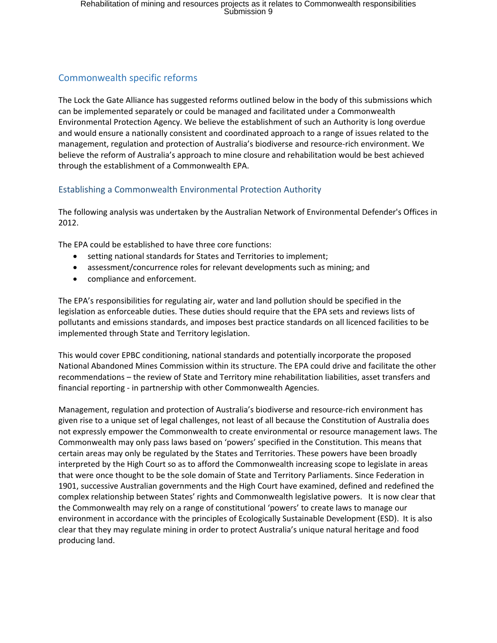## Commonwealth specific reforms

The Lock the Gate Alliance has suggested reforms outlined below in the body of this submissions which can be implemented separately or could be managed and facilitated under a Commonwealth Environmental Protection Agency. We believe the establishment of such an Authority is long overdue and would ensure a nationally consistent and coordinated approach to a range of issues related to the management, regulation and protection of Australia's biodiverse and resource-rich environment. We believe the reform of Australia's approach to mine closure and rehabilitation would be best achieved through the establishment of a Commonwealth EPA.

### Establishing a Commonwealth Environmental Protection Authority

The following analysis was undertaken by the Australian Network of Environmental Defender's Offices in 2012.

The EPA could be established to have three core functions:

- setting national standards for States and Territories to implement;
- assessment/concurrence roles for relevant developments such as mining; and
- compliance and enforcement.

The EPA's responsibilities for regulating air, water and land pollution should be specified in the legislation as enforceable duties. These duties should require that the EPA sets and reviews lists of pollutants and emissions standards, and imposes best practice standards on all licenced facilities to be implemented through State and Territory legislation.

This would cover EPBC conditioning, national standards and potentially incorporate the proposed National Abandoned Mines Commission within its structure. The EPA could drive and facilitate the other recommendations – the review of State and Territory mine rehabilitation liabilities, asset transfers and financial reporting - in partnership with other Commonwealth Agencies.

Management, regulation and protection of Australia's biodiverse and resource-rich environment has given rise to a unique set of legal challenges, not least of all because the Constitution of Australia does not expressly empower the Commonwealth to create environmental or resource management laws. The Commonwealth may only pass laws based on 'powers' specified in the Constitution. This means that certain areas may only be regulated by the States and Territories. These powers have been broadly interpreted by the High Court so as to afford the Commonwealth increasing scope to legislate in areas that were once thought to be the sole domain of State and Territory Parliaments. Since Federation in 1901, successive Australian governments and the High Court have examined, defined and redefined the complex relationship between States' rights and Commonwealth legislative powers. It is now clear that the Commonwealth may rely on a range of constitutional 'powers' to create laws to manage our environment in accordance with the principles of Ecologically Sustainable Development (ESD). It is also clear that they may regulate mining in order to protect Australia's unique natural heritage and food producing land.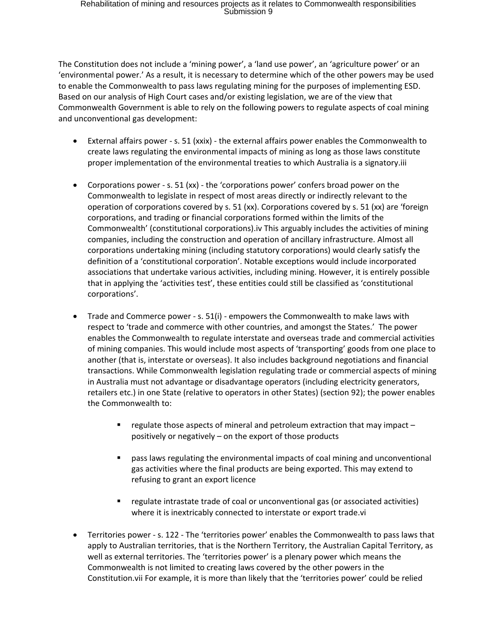The Constitution does not include a 'mining power', a 'land use power', an 'agriculture power' or an 'environmental power.' As a result, it is necessary to determine which of the other powers may be used to enable the Commonwealth to pass laws regulating mining for the purposes of implementing ESD. Based on our analysis of High Court cases and/or existing legislation, we are of the view that Commonwealth Government is able to rely on the following powers to regulate aspects of coal mining and unconventional gas development:

- External affairs power s. 51 (xxix) the external affairs power enables the Commonwealth to create laws regulating the environmental impacts of mining as long as those laws constitute proper implementation of the environmental treaties to which Australia is a signatory.iii
- Corporations power s. 51 (xx) the 'corporations power' confers broad power on the Commonwealth to legislate in respect of most areas directly or indirectly relevant to the operation of corporations covered by s. 51 (xx). Corporations covered by s. 51 (xx) are 'foreign corporations, and trading or financial corporations formed within the limits of the Commonwealth' (constitutional corporations).iv This arguably includes the activities of mining companies, including the construction and operation of ancillary infrastructure. Almost all corporations undertaking mining (including statutory corporations) would clearly satisfy the definition of a 'constitutional corporation'. Notable exceptions would include incorporated associations that undertake various activities, including mining. However, it is entirely possible that in applying the 'activities test', these entities could still be classified as 'constitutional corporations'.
- Trade and Commerce power s. 51(i) empowers the Commonwealth to make laws with respect to 'trade and commerce with other countries, and amongst the States.' The power enables the Commonwealth to regulate interstate and overseas trade and commercial activities of mining companies. This would include most aspects of 'transporting' goods from one place to another (that is, interstate or overseas). It also includes background negotiations and financial transactions. While Commonwealth legislation regulating trade or commercial aspects of mining in Australia must not advantage or disadvantage operators (including electricity generators, retailers etc.) in one State (relative to operators in other States) (section 92); the power enables the Commonwealth to:
	- regulate those aspects of mineral and petroleum extraction that may impact positively or negatively – on the export of those products
	- pass laws regulating the environmental impacts of coal mining and unconventional gas activities where the final products are being exported. This may extend to refusing to grant an export licence
	- regulate intrastate trade of coal or unconventional gas (or associated activities) where it is inextricably connected to interstate or export trade.vi
- Territories power s. 122 The 'territories power' enables the Commonwealth to pass laws that apply to Australian territories, that is the Northern Territory, the Australian Capital Territory, as well as external territories. The 'territories power' is a plenary power which means the Commonwealth is not limited to creating laws covered by the other powers in the Constitution.vii For example, it is more than likely that the 'territories power' could be relied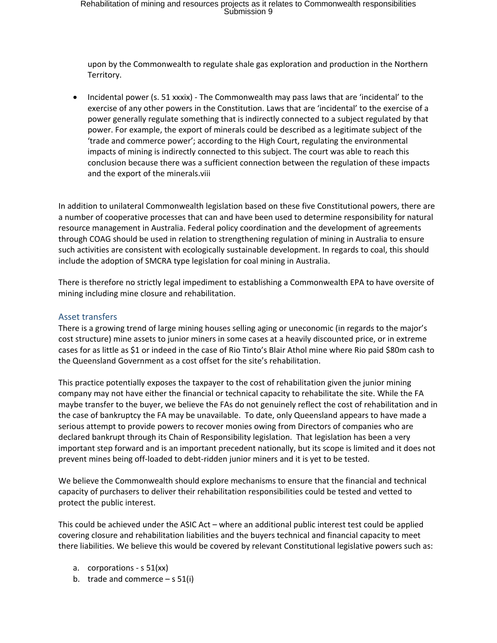upon by the Commonwealth to regulate shale gas exploration and production in the Northern Territory.

 Incidental power (s. 51 xxxix) - The Commonwealth may pass laws that are 'incidental' to the exercise of any other powers in the Constitution. Laws that are 'incidental' to the exercise of a power generally regulate something that is indirectly connected to a subject regulated by that power. For example, the export of minerals could be described as a legitimate subject of the 'trade and commerce power'; according to the High Court, regulating the environmental impacts of mining is indirectly connected to this subject. The court was able to reach this conclusion because there was a sufficient connection between the regulation of these impacts and the export of the minerals.viii

In addition to unilateral Commonwealth legislation based on these five Constitutional powers, there are a number of cooperative processes that can and have been used to determine responsibility for natural resource management in Australia. Federal policy coordination and the development of agreements through COAG should be used in relation to strengthening regulation of mining in Australia to ensure such activities are consistent with ecologically sustainable development. In regards to coal, this should include the adoption of SMCRA type legislation for coal mining in Australia.

There is therefore no strictly legal impediment to establishing a Commonwealth EPA to have oversite of mining including mine closure and rehabilitation.

#### Asset transfers

There is a growing trend of large mining houses selling aging or uneconomic (in regards to the major's cost structure) mine assets to junior miners in some cases at a heavily discounted price, or in extreme cases for as little as \$1 or indeed in the case of Rio Tinto's Blair Athol mine where Rio paid \$80m cash to the Queensland Government as a cost offset for the site's rehabilitation.

This practice potentially exposes the taxpayer to the cost of rehabilitation given the junior mining company may not have either the financial or technical capacity to rehabilitate the site. While the FA maybe transfer to the buyer, we believe the FAs do not genuinely reflect the cost of rehabilitation and in the case of bankruptcy the FA may be unavailable. To date, only Queensland appears to have made a serious attempt to provide powers to recover monies owing from Directors of companies who are declared bankrupt through its Chain of Responsibility legislation. That legislation has been a very important step forward and is an important precedent nationally, but its scope is limited and it does not prevent mines being off-loaded to debt-ridden junior miners and it is yet to be tested.

We believe the Commonwealth should explore mechanisms to ensure that the financial and technical capacity of purchasers to deliver their rehabilitation responsibilities could be tested and vetted to protect the public interest.

This could be achieved under the ASIC Act – where an additional public interest test could be applied covering closure and rehabilitation liabilities and the buyers technical and financial capacity to meet there liabilities. We believe this would be covered by relevant Constitutional legislative powers such as:

- a. corporations s 51(xx)
- b. trade and commerce  $s 51(i)$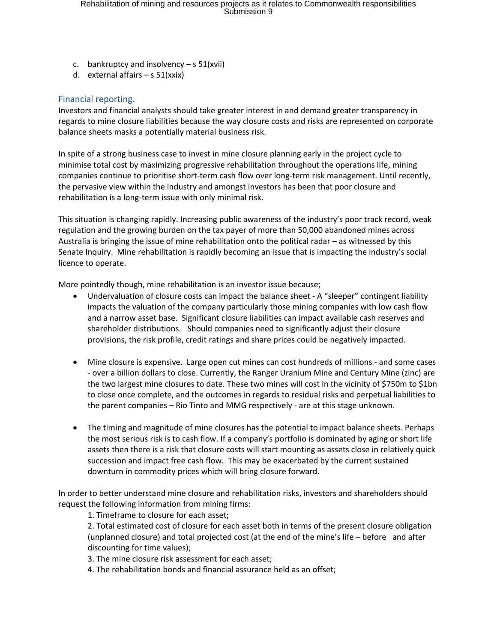- c. bankruptcy and insolvency  $-$  s 51(xvii)
- d. external affairs  $-$  s 51(xxix)

#### Financial reporting.

Investors and financial analysts should take greater interest in and demand greater transparency in regards to mine closure liabilities because the way closure costs and risks are represented on corporate balance sheets masks a potentially material business risk.

In spite of a strong business case to invest in mine closure planning early in the project cycle to minimise total cost by maximizing progressive rehabilitation throughout the operations life, mining companies continue to prioritise short-term cash flow over long-term risk management. Until recently, the pervasive view within the industry and amongst investors has been that poor closure and rehabilitation is a long-term issue with only minimal risk.

This situation is changing rapidly. Increasing public awareness of the industry's poor track record, weak regulation and the growing burden on the tax payer of more than 50,000 abandoned mines across Australia is bringing the issue of mine rehabilitation onto the political radar – as witnessed by this Senate Inquiry. Mine rehabilitation is rapidly becoming an issue that is impacting the industry's social licence to operate.

More pointedly though, mine rehabilitation is an investor issue because;

- Undervaluation of closure costs can impact the balance sheet A "sleeper" contingent liability impacts the valuation of the company particularly those mining companies with low cash flow and a narrow asset base. Significant closure liabilities can impact available cash reserves and shareholder distributions. Should companies need to significantly adjust their closure provisions, the risk profile, credit ratings and share prices could be negatively impacted.
- Mine closure is expensive. Large open cut mines can cost hundreds of millions and some cases - over a billion dollars to close. Currently, the Ranger Uranium Mine and Century Mine (zinc) are the two largest mine closures to date. These two mines will cost in the vicinity of \$750m to \$1bn to close once complete, and the outcomes in regards to residual risks and perpetual liabilities to the parent companies – Rio Tinto and MMG respectively - are at this stage unknown.
- The timing and magnitude of mine closures has the potential to impact balance sheets. Perhaps the most serious risk is to cash flow. If a company's portfolio is dominated by aging or short life assets then there is a risk that closure costs will start mounting as assets close in relatively quick succession and impact free cash flow. This may be exacerbated by the current sustained downturn in commodity prices which will bring closure forward.

In order to better understand mine closure and rehabilitation risks, investors and shareholders should request the following information from mining firms:

1. Timeframe to closure for each asset;

2. Total estimated cost of closure for each asset both in terms of the present closure obligation (unplanned closure) and total projected cost (at the end of the mine's life – before and after discounting for time values);

3. The mine closure risk assessment for each asset;

4. The rehabilitation bonds and financial assurance held as an offset;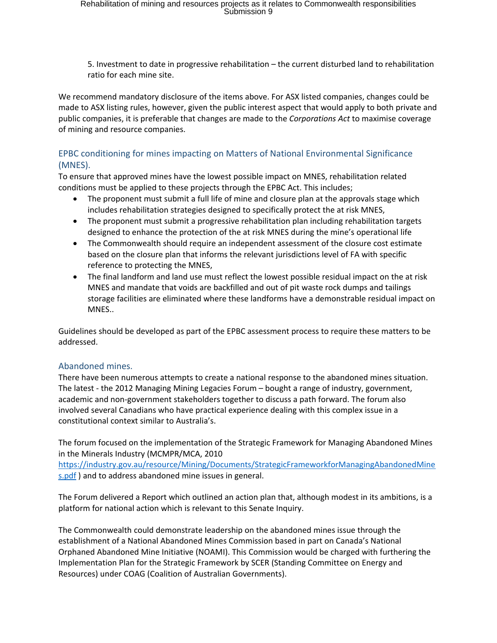5. Investment to date in progressive rehabilitation – the current disturbed land to rehabilitation ratio for each mine site.

We recommend mandatory disclosure of the items above. For ASX listed companies, changes could be made to ASX listing rules, however, given the public interest aspect that would apply to both private and public companies, it is preferable that changes are made to the *Corporations Act* to maximise coverage of mining and resource companies.

#### EPBC conditioning for mines impacting on Matters of National Environmental Significance (MNES).

To ensure that approved mines have the lowest possible impact on MNES, rehabilitation related conditions must be applied to these projects through the EPBC Act. This includes;

- The proponent must submit a full life of mine and closure plan at the approvals stage which includes rehabilitation strategies designed to specifically protect the at risk MNES,
- The proponent must submit a progressive rehabilitation plan including rehabilitation targets designed to enhance the protection of the at risk MNES during the mine's operational life
- The Commonwealth should require an independent assessment of the closure cost estimate based on the closure plan that informs the relevant jurisdictions level of FA with specific reference to protecting the MNES,
- The final landform and land use must reflect the lowest possible residual impact on the at risk MNES and mandate that voids are backfilled and out of pit waste rock dumps and tailings storage facilities are eliminated where these landforms have a demonstrable residual impact on MNES..

Guidelines should be developed as part of the EPBC assessment process to require these matters to be addressed.

#### Abandoned mines.

There have been numerous attempts to create a national response to the abandoned mines situation. The latest - the 2012 Managing Mining Legacies Forum – bought a range of industry, government, academic and non-government stakeholders together to discuss a path forward. The forum also involved several Canadians who have practical experience dealing with this complex issue in a constitutional context similar to Australia's.

The forum focused on the implementation of the Strategic Framework for Managing Abandoned Mines in the Minerals Industry (MCMPR/MCA, 2010

[https://industry.gov.au/resource/Mining/Documents/StrategicFrameworkforManagingAbandonedMine](https://industry.gov.au/resource/Mining/Documents/StrategicFrameworkforManagingAbandonedMines.pdf) [s.pdf](https://industry.gov.au/resource/Mining/Documents/StrategicFrameworkforManagingAbandonedMines.pdf) ) and to address abandoned mine issues in general.

The Forum delivered a Report which outlined an action plan that, although modest in its ambitions, is a platform for national action which is relevant to this Senate Inquiry.

The Commonwealth could demonstrate leadership on the abandoned mines issue through the establishment of a National Abandoned Mines Commission based in part on Canada's National Orphaned Abandoned Mine Initiative (NOAMI). This Commission would be charged with furthering the Implementation Plan for the Strategic Framework by SCER (Standing Committee on Energy and Resources) under COAG (Coalition of Australian Governments).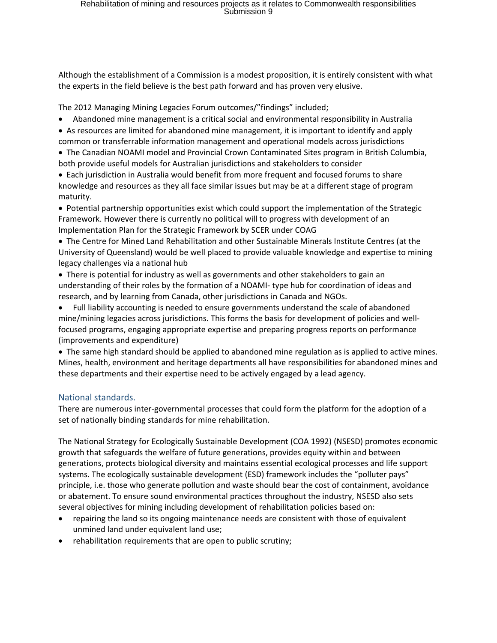Although the establishment of a Commission is a modest proposition, it is entirely consistent with what the experts in the field believe is the best path forward and has proven very elusive.

The 2012 Managing Mining Legacies Forum outcomes/"findings" included;

- Abandoned mine management is a critical social and environmental responsibility in Australia
- As resources are limited for abandoned mine management, it is important to identify and apply common or transferrable information management and operational models across jurisdictions
- The Canadian NOAMI model and Provincial Crown Contaminated Sites program in British Columbia, both provide useful models for Australian jurisdictions and stakeholders to consider
- Each jurisdiction in Australia would benefit from more frequent and focused forums to share knowledge and resources as they all face similar issues but may be at a different stage of program maturity.
- Potential partnership opportunities exist which could support the implementation of the Strategic Framework. However there is currently no political will to progress with development of an Implementation Plan for the Strategic Framework by SCER under COAG
- The Centre for Mined Land Rehabilitation and other Sustainable Minerals Institute Centres (at the University of Queensland) would be well placed to provide valuable knowledge and expertise to mining legacy challenges via a national hub
- There is potential for industry as well as governments and other stakeholders to gain an understanding of their roles by the formation of a NOAMI- type hub for coordination of ideas and research, and by learning from Canada, other jurisdictions in Canada and NGOs.
- Full liability accounting is needed to ensure governments understand the scale of abandoned mine/mining legacies across jurisdictions. This forms the basis for development of policies and wellfocused programs, engaging appropriate expertise and preparing progress reports on performance (improvements and expenditure)
- The same high standard should be applied to abandoned mine regulation as is applied to active mines. Mines, health, environment and heritage departments all have responsibilities for abandoned mines and these departments and their expertise need to be actively engaged by a lead agency.

#### National standards.

There are numerous inter-governmental processes that could form the platform for the adoption of a set of nationally binding standards for mine rehabilitation.

The National Strategy for Ecologically Sustainable Development (COA 1992) (NSESD) promotes economic growth that safeguards the welfare of future generations, provides equity within and between generations, protects biological diversity and maintains essential ecological processes and life support systems. The ecologically sustainable development (ESD) framework includes the "polluter pays" principle, i.e. those who generate pollution and waste should bear the cost of containment, avoidance or abatement. To ensure sound environmental practices throughout the industry, NSESD also sets several objectives for mining including development of rehabilitation policies based on:

- repairing the land so its ongoing maintenance needs are consistent with those of equivalent unmined land under equivalent land use;
- rehabilitation requirements that are open to public scrutiny;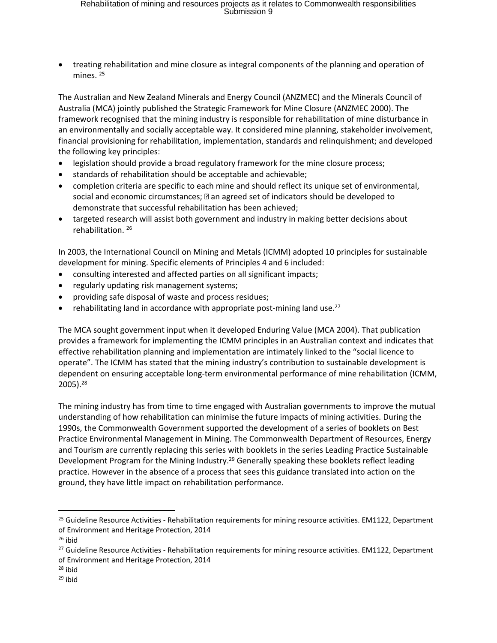treating rehabilitation and mine closure as integral components of the planning and operation of mines.<sup>25</sup>

The Australian and New Zealand Minerals and Energy Council (ANZMEC) and the Minerals Council of Australia (MCA) jointly published the Strategic Framework for Mine Closure (ANZMEC 2000). The framework recognised that the mining industry is responsible for rehabilitation of mine disturbance in an environmentally and socially acceptable way. It considered mine planning, stakeholder involvement, financial provisioning for rehabilitation, implementation, standards and relinquishment; and developed the following key principles:

- legislation should provide a broad regulatory framework for the mine closure process;
- standards of rehabilitation should be acceptable and achievable;
- completion criteria are specific to each mine and should reflect its unique set of environmental, social and economic circumstances;  $\mathbb D$  an agreed set of indicators should be developed to demonstrate that successful rehabilitation has been achieved;
- targeted research will assist both government and industry in making better decisions about rehabilitation. <sup>26</sup>

In 2003, the International Council on Mining and Metals (ICMM) adopted 10 principles for sustainable development for mining. Specific elements of Principles 4 and 6 included:

- consulting interested and affected parties on all significant impacts;
- regularly updating risk management systems;
- providing safe disposal of waste and process residues;
- $\bullet$  rehabilitating land in accordance with appropriate post-mining land use.<sup>27</sup>

The MCA sought government input when it developed Enduring Value (MCA 2004). That publication provides a framework for implementing the ICMM principles in an Australian context and indicates that effective rehabilitation planning and implementation are intimately linked to the "social licence to operate". The ICMM has stated that the mining industry's contribution to sustainable development is dependent on ensuring acceptable long-term environmental performance of mine rehabilitation (ICMM, 2005).<sup>28</sup>

The mining industry has from time to time engaged with Australian governments to improve the mutual understanding of how rehabilitation can minimise the future impacts of mining activities. During the 1990s, the Commonwealth Government supported the development of a series of booklets on Best Practice Environmental Management in Mining. The Commonwealth Department of Resources, Energy and Tourism are currently replacing this series with booklets in the series Leading Practice Sustainable Development Program for the Mining Industry.<sup>29</sup> Generally speaking these booklets reflect leading practice. However in the absence of a process that sees this guidance translated into action on the ground, they have little impact on rehabilitation performance.

<sup>&</sup>lt;sup>25</sup> Guideline Resource Activities - Rehabilitation requirements for mining resource activities. EM1122, Department of Environment and Heritage Protection, 2014

 $26$  ibid

<sup>&</sup>lt;sup>27</sup> Guideline Resource Activities - Rehabilitation requirements for mining resource activities. EM1122, Department of Environment and Heritage Protection, 2014

<sup>28</sup> ibid

<sup>29</sup> ibid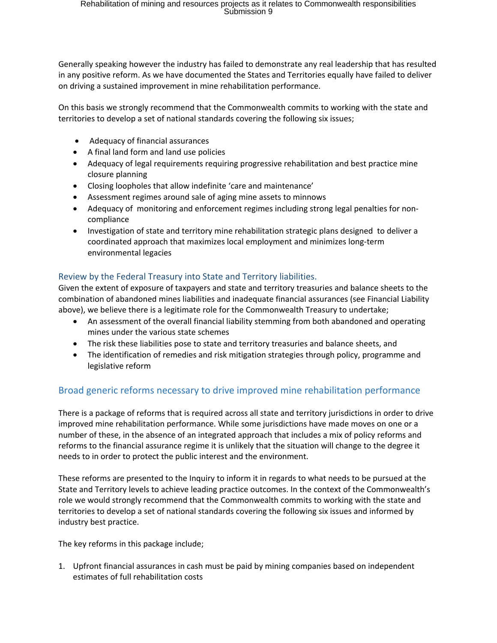Generally speaking however the industry has failed to demonstrate any real leadership that has resulted in any positive reform. As we have documented the States and Territories equally have failed to deliver on driving a sustained improvement in mine rehabilitation performance.

On this basis we strongly recommend that the Commonwealth commits to working with the state and territories to develop a set of national standards covering the following six issues;

- Adequacy of financial assurances
- A final land form and land use policies
- Adequacy of legal requirements requiring progressive rehabilitation and best practice mine closure planning
- Closing loopholes that allow indefinite 'care and maintenance'
- Assessment regimes around sale of aging mine assets to minnows
- Adequacy of monitoring and enforcement regimes including strong legal penalties for noncompliance
- Investigation of state and territory mine rehabilitation strategic plans designed to deliver a coordinated approach that maximizes local employment and minimizes long-term environmental legacies

### Review by the Federal Treasury into State and Territory liabilities.

Given the extent of exposure of taxpayers and state and territory treasuries and balance sheets to the combination of abandoned mines liabilities and inadequate financial assurances (see Financial Liability above), we believe there is a legitimate role for the Commonwealth Treasury to undertake;

- An assessment of the overall financial liability stemming from both abandoned and operating mines under the various state schemes
- The risk these liabilities pose to state and territory treasuries and balance sheets, and
- The identification of remedies and risk mitigation strategies through policy, programme and legislative reform

### Broad generic reforms necessary to drive improved mine rehabilitation performance

There is a package of reforms that is required across all state and territory jurisdictions in order to drive improved mine rehabilitation performance. While some jurisdictions have made moves on one or a number of these, in the absence of an integrated approach that includes a mix of policy reforms and reforms to the financial assurance regime it is unlikely that the situation will change to the degree it needs to in order to protect the public interest and the environment.

These reforms are presented to the Inquiry to inform it in regards to what needs to be pursued at the State and Territory levels to achieve leading practice outcomes. In the context of the Commonwealth's role we would strongly recommend that the Commonwealth commits to working with the state and territories to develop a set of national standards covering the following six issues and informed by industry best practice.

The key reforms in this package include;

1. Upfront financial assurances in cash must be paid by mining companies based on independent estimates of full rehabilitation costs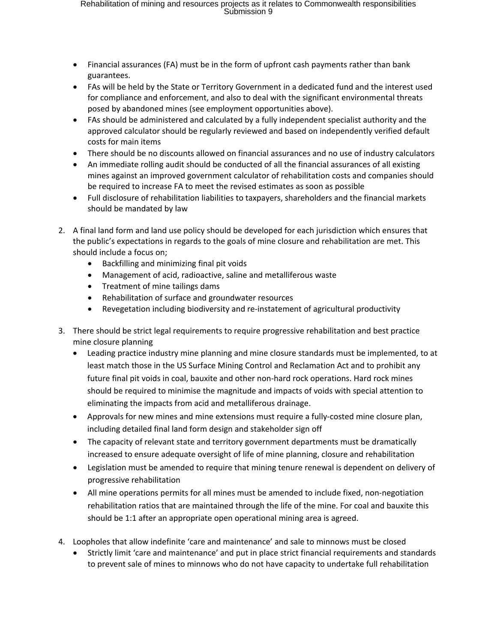- Financial assurances (FA) must be in the form of upfront cash payments rather than bank guarantees.
- FAs will be held by the State or Territory Government in a dedicated fund and the interest used for compliance and enforcement, and also to deal with the significant environmental threats posed by abandoned mines (see employment opportunities above).
- FAs should be administered and calculated by a fully independent specialist authority and the approved calculator should be regularly reviewed and based on independently verified default costs for main items
- There should be no discounts allowed on financial assurances and no use of industry calculators
- An immediate rolling audit should be conducted of all the financial assurances of all existing mines against an improved government calculator of rehabilitation costs and companies should be required to increase FA to meet the revised estimates as soon as possible
- Full disclosure of rehabilitation liabilities to taxpayers, shareholders and the financial markets should be mandated by law
- 2. A final land form and land use policy should be developed for each jurisdiction which ensures that the public's expectations in regards to the goals of mine closure and rehabilitation are met. This should include a focus on;
	- Backfilling and minimizing final pit voids
	- Management of acid, radioactive, saline and metalliferous waste
	- Treatment of mine tailings dams
	- Rehabilitation of surface and groundwater resources
	- Revegetation including biodiversity and re-instatement of agricultural productivity
- 3. There should be strict legal requirements to require progressive rehabilitation and best practice mine closure planning
	- Leading practice industry mine planning and mine closure standards must be implemented, to at least match those in the US Surface Mining Control and Reclamation Act and to prohibit any future final pit voids in coal, bauxite and other non-hard rock operations. Hard rock mines should be required to minimise the magnitude and impacts of voids with special attention to eliminating the impacts from acid and metalliferous drainage.
	- Approvals for new mines and mine extensions must require a fully-costed mine closure plan, including detailed final land form design and stakeholder sign off
	- The capacity of relevant state and territory government departments must be dramatically increased to ensure adequate oversight of life of mine planning, closure and rehabilitation
	- Legislation must be amended to require that mining tenure renewal is dependent on delivery of progressive rehabilitation
	- All mine operations permits for all mines must be amended to include fixed, non-negotiation rehabilitation ratios that are maintained through the life of the mine. For coal and bauxite this should be 1:1 after an appropriate open operational mining area is agreed.
- 4. Loopholes that allow indefinite 'care and maintenance' and sale to minnows must be closed
	- Strictly limit 'care and maintenance' and put in place strict financial requirements and standards to prevent sale of mines to minnows who do not have capacity to undertake full rehabilitation